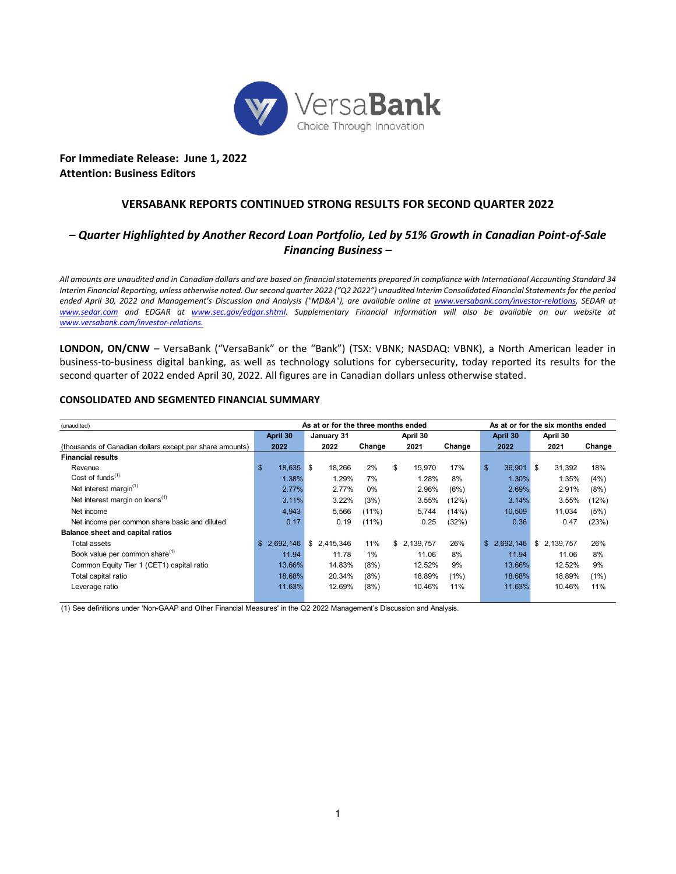

## **For Immediate Release: June 1, 2022 Attention: Business Editors**

## **VERSABANK REPORTS CONTINUED STRONG RESULTS FOR SECOND QUARTER 2022**

# *– Quarter Highlighted by Another Record Loan Portfolio, Led by 51% Growth in Canadian Point-of-Sale Financing Business –*

*All amounts are unaudited and in Canadian dollars and are based on financial statements prepared in compliance with International Accounting Standard 34 Interim Financial Reporting, unless otherwise noted. Our second quarter 2022 ("Q2 2022") unaudited Interim Consolidated Financial Statements for the period ended April 30, 2022 and Management's Discussion and Analysis ("MD&A"), are available online at [www.versabank.com/investor-relations,](http://www.versabank.com/investor-relations) SEDAR at [www.sedar.com](https://www.sedar.com/) and EDGAR at [www.sec.gov/edgar.shtml.](https://www.sec.gov/edgar.shtml) Supplementary Financial Information will also be available on our website at [www.versabank.com/investor-relations.](http://www.versabank.com/investor-relations)*

LONDON, ON/CNW - VersaBank ("VersaBank" or the "Bank") (TSX: VBNK; NASDAQ: VBNK), a North American leader in business-to-business digital banking, as well as technology solutions for cybersecurity, today reported its results for the second quarter of 2022 ended April 30, 2022. All figures are in Canadian dollars unless otherwise stated.

## **CONSOLIDATED AND SEGMENTED FINANCIAL SUMMARY**

| (unaudited)                                              |              | As at or for the three months ended |        | As at or for the six months ended |        |              |             |    |             |         |
|----------------------------------------------------------|--------------|-------------------------------------|--------|-----------------------------------|--------|--------------|-------------|----|-------------|---------|
|                                                          | April 30     | January 31                          |        | April 30                          |        |              | April 30    |    | April 30    |         |
| (thousands of Canadian dollars except per share amounts) | 2022         | 2022                                | Change | 2021                              | Change |              | 2022        |    | 2021        | Change  |
| <b>Financial results</b>                                 |              |                                     |        |                                   |        |              |             |    |             |         |
| Revenue                                                  | \$<br>18,635 | \$<br>18.266                        | 2%     | \$<br>15,970                      | 17%    | $\mathbf{s}$ | 36,901      | \$ | 31.392      | 18%     |
| Cost of funds $(1)$                                      | 1.38%        | 1.29%                               | 7%     | 1.28%                             | 8%     |              | 1.30%       |    | 1.35%       | (4%)    |
| Net interest margin <sup>(1)</sup>                       | 2.77%        | 2.77%                               | 0%     | 2.96%                             | (6%)   |              | 2.69%       |    | 2.91%       | (8%)    |
| Net interest margin on loans <sup>(1)</sup>              | 3.11%        | 3.22%                               | (3%)   | 3.55%                             | (12%)  |              | 3.14%       |    | 3.55%       | (12%)   |
| Net income                                               | 4,943        | 5,566                               | (11%)  | 5,744                             | (14%)  |              | 10,509      |    | 11,034      | (5%)    |
| Net income per common share basic and diluted            | 0.17         | 0.19                                | (11%)  | 0.25                              | (32%)  |              | 0.36        |    | 0.47        | (23%)   |
| Balance sheet and capital ratios                         |              |                                     |        |                                   |        |              |             |    |             |         |
| Total assets                                             | \$2.692.146  | \$2,415,346                         | 11%    | \$2,139,757                       | 26%    |              | \$2,692,146 |    | \$2,139,757 | 26%     |
| Book value per common share <sup>(1)</sup>               | 11.94        | 11.78                               | 1%     | 11.06                             | 8%     |              | 11.94       |    | 11.06       | 8%      |
| Common Equity Tier 1 (CET1) capital ratio                | 13.66%       | 14.83%                              | (8%)   | 12.52%                            | 9%     |              | 13.66%      |    | 12.52%      | 9%      |
| Total capital ratio                                      | 18.68%       | 20.34%                              | (8%)   | 18.89%                            | (1%)   |              | 18.68%      |    | 18.89%      | $(1\%)$ |
| Leverage ratio                                           | 11.63%       | 12.69%                              | (8%)   | 10.46%                            | 11%    |              | 11.63%      |    | 10.46%      | 11%     |

(1) See definitions under 'Non-GAAP and Other Financial Measures' in the Q2 2022 Management's Discussion and Analysis.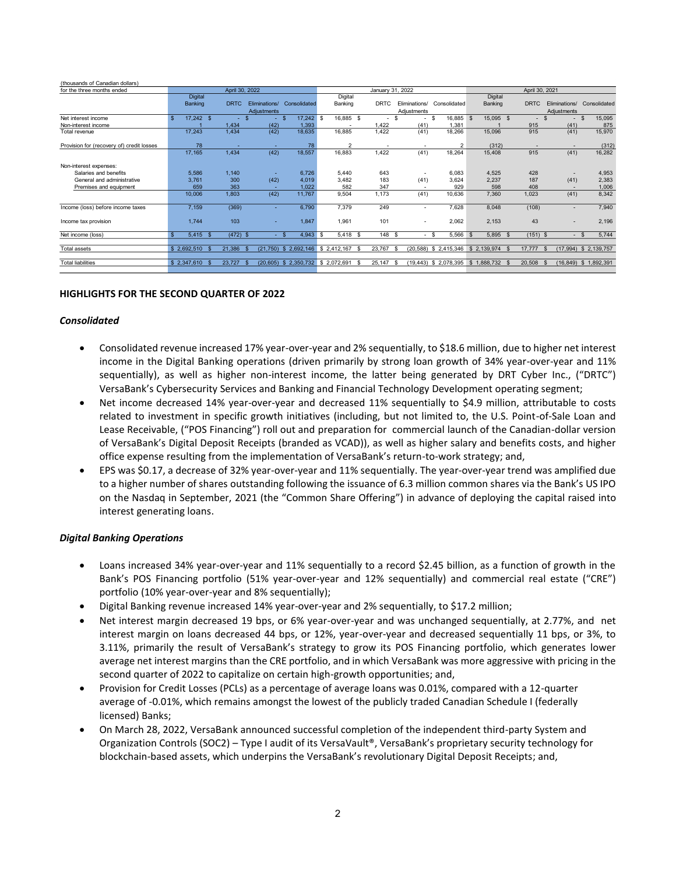| (thousands of Canadian dollars)           |              |             |      |                |                       |                                      |                         |     |                  |    |                          |                 |              |               |                          |               |                          |               |              |
|-------------------------------------------|--------------|-------------|------|----------------|-----------------------|--------------------------------------|-------------------------|-----|------------------|----|--------------------------|-----------------|--------------|---------------|--------------------------|---------------|--------------------------|---------------|--------------|
| for the three months ended                |              |             |      | April 30, 2022 |                       |                                      |                         |     | January 31, 2022 |    |                          |                 |              |               | April 30, 2021           |               |                          |               |              |
|                                           |              | Digital     |      |                |                       |                                      | Digital                 |     |                  |    |                          |                 | Digital      |               |                          |               |                          |               |              |
|                                           |              | Banking     |      | <b>DRTC</b>    | Fliminations/         | Consolidated                         | Banking                 |     | <b>DRTC</b>      |    | Fliminations/            | Consolidated    | Banking      |               | <b>DRTC</b>              | Eliminations/ |                          |               | Consolidated |
|                                           |              |             |      |                | Adjustments           |                                      |                         |     |                  |    | Adiustments              |                 |              |               |                          | Adjustments   |                          |               |              |
| Net interest income                       | $\mathbf{s}$ | $17,242$ \$ |      | ۰.             |                       | 17,242 \$<br>-S                      | $16,885$ \$             |     | $\sim$           | £. | $\overline{a}$           | 16,885 \$<br>-S | 15,095 \$    |               | $\overline{\phantom{a}}$ |               | $\overline{\phantom{a}}$ | <sub>\$</sub> | 15,095       |
| Non-interest income                       |              |             |      | 1,434          | (42)                  | 1,393                                |                         |     | 1,422            |    | (41)                     | 1,381           |              |               | 915                      |               | (41)                     |               | 875          |
| Total revenue                             |              | 17,243      |      | 1,434          | (42)                  | 18,635                               | 16,885                  |     | 1,422            |    | (41)                     | 18,266          | 15,096       |               | 915                      |               | (41)                     |               | 15,970       |
| Provision for (recovery of) credit losses |              | 78          |      |                |                       | 78                                   | $\overline{\mathbf{c}}$ |     |                  |    |                          | $\overline{2}$  | (312)        |               |                          |               |                          |               | (312)        |
|                                           |              | 17.165      |      | 1,434          | (42)                  | 18,557                               | 16,883                  |     | 1,422            |    | (41)                     | 18,264          | 15,408       |               | 915                      |               | (41)                     |               | 16,282       |
| Non-interest expenses:                    |              |             |      |                |                       |                                      |                         |     |                  |    |                          |                 |              |               |                          |               |                          |               |              |
| Salaries and benefits                     |              | 5,586       |      | 1,140          |                       | 6,726                                | 5,440                   |     | 643              |    |                          | 6,083           | 4,525        |               | 428                      |               |                          |               | 4,953        |
| General and administrative                |              | 3.761       |      | 300            | (42)                  | 4,019                                | 3,482                   |     | 183              |    | (41)                     | 3,624           | 2,237        |               | 187                      |               | (41)                     |               | 2,383        |
| Premises and equipment                    |              | 659         |      | 363            |                       | 1,022                                | 582                     |     | 347              |    |                          | 929             | 598          |               | 408                      |               |                          |               | 1,006        |
|                                           |              | 10,006      |      | 1,803          | (42)                  | 11.767                               | 9,504                   |     | 1.173            |    | (41)                     | 10,636          | 7,360        |               | 1,023                    |               | (41)                     |               | 8,342        |
| Income (loss) before income taxes         |              | 7,159       |      | (369)          |                       | 6,790                                | 7,379                   |     | 249              |    | $\overline{\phantom{a}}$ | 7,628           | 8,048        |               | (108)                    |               |                          |               | 7,940        |
| Income tax provision                      |              | 1,744       |      | 103            |                       | 1,847                                | 1,961                   |     | 101              |    | $\overline{\phantom{a}}$ | 2,062           | 2,153        |               | 43                       |               |                          |               | 2,196        |
| Net income (loss)                         |              | $5,415$ \$  |      | $(472)$ \$     |                       | $4,943$ \$<br>$-$ \$                 | 5,418 \$                |     | 148              | -S | $-$ \$                   | 5,566 \$        | 5,895        | $\mathbf{\$}$ | $(151)$ \$               |               | $-$ \$                   |               | 5,744        |
| <b>Total assets</b>                       |              | \$2,692,510 | - \$ | 21,386         | <b>S</b>              | $(21,750)$ \$ 2,692,146 \$ 2,412,167 |                         | \$. | 23,767           | S. | (20, 588)                | \$2,415,346     | \$ 2,139,974 |               | 17,777                   | $\mathbf{s}$  | (17, 994)                |               | \$ 2,139,757 |
|                                           |              |             |      |                |                       |                                      |                         |     |                  |    |                          |                 |              |               |                          |               |                          |               |              |
| <b>Total liabilities</b>                  | \$2,347,610  |             |      | 23,727         | (20, 605)<br><b>S</b> | \$2,350,732                          | \$2,072,691             | \$. | 25,147           | -S | (19.443)                 | \$2,078,395     | \$1,888,732  |               | 20,508                   | <b>S</b>      | (16, 849)                |               | \$1,892,391  |

## **HIGHLIGHTS FOR THE SECOND QUARTER OF 2022**

#### *Consolidated*

- Consolidated revenue increased 17% year-over-year and 2% sequentially, to \$18.6 million, due to higher net interest income in the Digital Banking operations (driven primarily by strong loan growth of 34% year-over-year and 11% sequentially), as well as higher non-interest income, the latter being generated by DRT Cyber Inc., ("DRTC") VersaBank's Cybersecurity Services and Banking and Financial Technology Development operating segment;
- Net income decreased 14% year-over-year and decreased 11% sequentially to \$4.9 million, attributable to costs related to investment in specific growth initiatives (including, but not limited to, the U.S. Point-of-Sale Loan and Lease Receivable, ("POS Financing") roll out and preparation for commercial launch of the Canadian-dollar version of VersaBank's Digital Deposit Receipts (branded as VCAD)), as well as higher salary and benefits costs, and higher office expense resulting from the implementation of VersaBank's return-to-work strategy; and,
- EPS was \$0.17, a decrease of 32% year-over-year and 11% sequentially. The year-over-year trend was amplified due to a higher number of shares outstanding following the issuance of 6.3 million common shares via the Bank's US IPO on the Nasdaq in September, 2021 (the "Common Share Offering") in advance of deploying the capital raised into interest generating loans.

#### *Digital Banking Operations*

- Loans increased 34% year-over-year and 11% sequentially to a record \$2.45 billion, as a function of growth in the Bank's POS Financing portfolio (51% year-over-year and 12% sequentially) and commercial real estate ("CRE") portfolio (10% year-over-year and 8% sequentially);
- Digital Banking revenue increased 14% year-over-year and 2% sequentially, to \$17.2 million;
- Net interest margin decreased 19 bps, or 6% year-over-year and was unchanged sequentially, at 2.77%, and net interest margin on loans decreased 44 bps, or 12%, year-over-year and decreased sequentially 11 bps, or 3%, to 3.11%, primarily the result of VersaBank's strategy to grow its POS Financing portfolio, which generates lower average net interest margins than the CRE portfolio, and in which VersaBank was more aggressive with pricing in the second quarter of 2022 to capitalize on certain high-growth opportunities; and,
- Provision for Credit Losses (PCLs) as a percentage of average loans was 0.01%, compared with a 12-quarter average of -0.01%, which remains amongst the lowest of the publicly traded Canadian Schedule I (federally licensed) Banks;
- On March 28, 2022, VersaBank announced successful completion of the independent third-party System and Organization Controls (SOC2) – Type I audit of its VersaVault®, VersaBank's proprietary security technology for blockchain-based assets, which underpins the VersaBank's revolutionary Digital Deposit Receipts; and,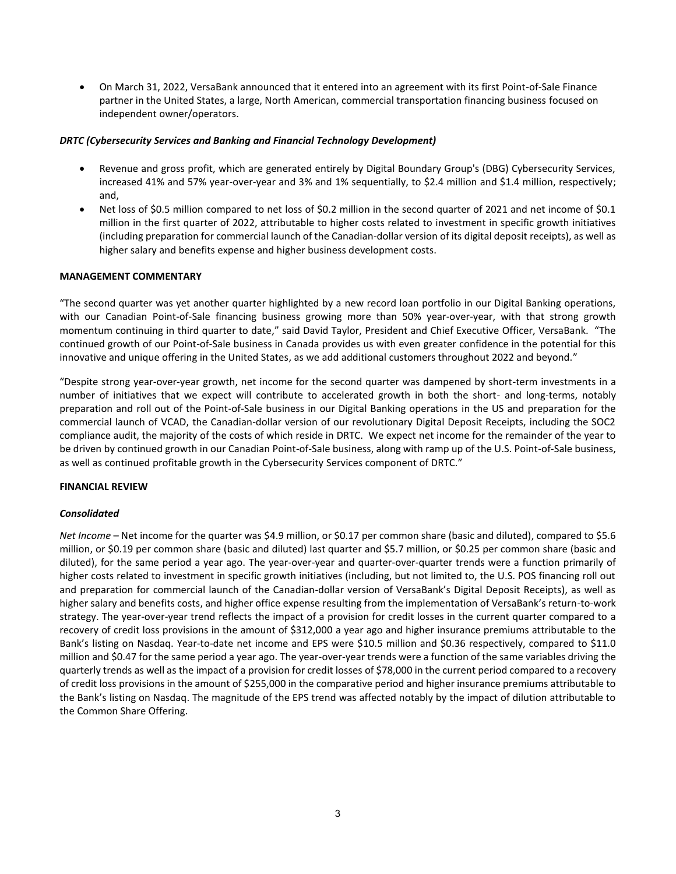• On March 31, 2022, VersaBank announced that it entered into an agreement with its first Point-of-Sale Finance partner in the United States, a large, North American, commercial transportation financing business focused on independent owner/operators.

#### *DRTC (Cybersecurity Services and Banking and Financial Technology Development)*

- Revenue and gross profit, which are generated entirely by Digital Boundary Group's (DBG) Cybersecurity Services, increased 41% and 57% year-over-year and 3% and 1% sequentially, to \$2.4 million and \$1.4 million, respectively; and,
- Net loss of \$0.5 million compared to net loss of \$0.2 million in the second quarter of 2021 and net income of \$0.1 million in the first quarter of 2022, attributable to higher costs related to investment in specific growth initiatives (including preparation for commercial launch of the Canadian-dollar version of its digital deposit receipts), as well as higher salary and benefits expense and higher business development costs.

## **MANAGEMENT COMMENTARY**

"The second quarter was yet another quarter highlighted by a new record loan portfolio in our Digital Banking operations, with our Canadian Point-of-Sale financing business growing more than 50% year-over-year, with that strong growth momentum continuing in third quarter to date," said David Taylor, President and Chief Executive Officer, VersaBank. "The continued growth of our Point-of-Sale business in Canada provides us with even greater confidence in the potential for this innovative and unique offering in the United States, as we add additional customers throughout 2022 and beyond."

"Despite strong year-over-year growth, net income for the second quarter was dampened by short-term investments in a number of initiatives that we expect will contribute to accelerated growth in both the short- and long-terms, notably preparation and roll out of the Point-of-Sale business in our Digital Banking operations in the US and preparation for the commercial launch of VCAD, the Canadian-dollar version of our revolutionary Digital Deposit Receipts, including the SOC2 compliance audit, the majority of the costs of which reside in DRTC. We expect net income for the remainder of the year to be driven by continued growth in our Canadian Point-of-Sale business, along with ramp up of the U.S. Point-of-Sale business, as well as continued profitable growth in the Cybersecurity Services component of DRTC."

#### **FINANCIAL REVIEW**

#### *Consolidated*

*Net Income* – Net income for the quarter was \$4.9 million, or \$0.17 per common share (basic and diluted), compared to \$5.6 million, or \$0.19 per common share (basic and diluted) last quarter and \$5.7 million, or \$0.25 per common share (basic and diluted), for the same period a year ago. The year-over-year and quarter-over-quarter trends were a function primarily of higher costs related to investment in specific growth initiatives (including, but not limited to, the U.S. POS financing roll out and preparation for commercial launch of the Canadian-dollar version of VersaBank's Digital Deposit Receipts), as well as higher salary and benefits costs, and higher office expense resulting from the implementation of VersaBank's return-to-work strategy. The year-over-year trend reflects the impact of a provision for credit losses in the current quarter compared to a recovery of credit loss provisions in the amount of \$312,000 a year ago and higher insurance premiums attributable to the Bank's listing on Nasdaq. Year-to-date net income and EPS were \$10.5 million and \$0.36 respectively, compared to \$11.0 million and \$0.47 for the same period a year ago. The year-over-year trends were a function of the same variables driving the quarterly trends as well as the impact of a provision for credit losses of \$78,000 in the current period compared to a recovery of credit loss provisions in the amount of \$255,000 in the comparative period and higher insurance premiums attributable to the Bank's listing on Nasdaq. The magnitude of the EPS trend was affected notably by the impact of dilution attributable to the Common Share Offering.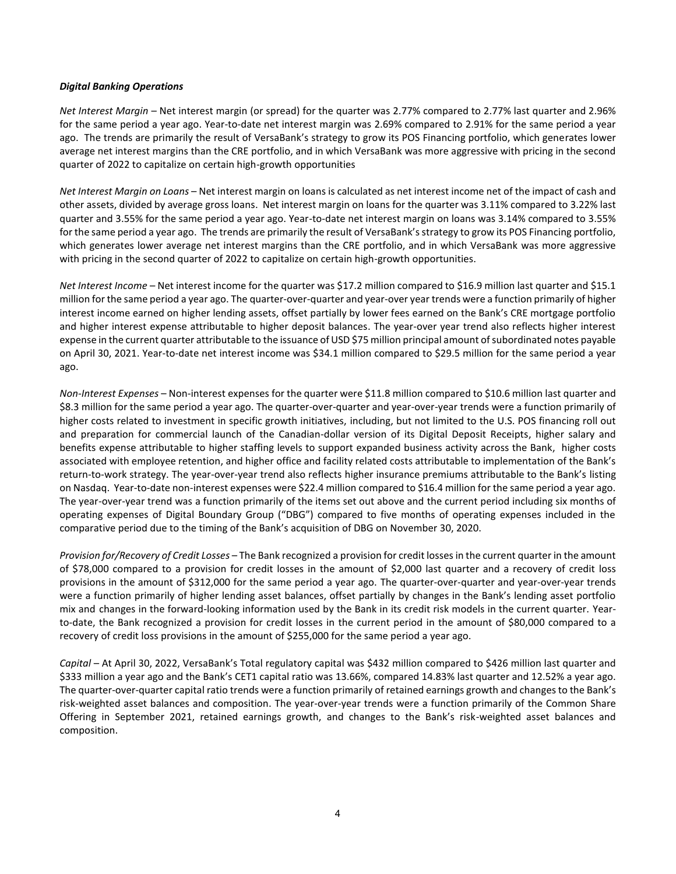#### *Digital Banking Operations*

*Net Interest Margin* – Net interest margin (or spread) for the quarter was 2.77% compared to 2.77% last quarter and 2.96% for the same period a year ago. Year-to-date net interest margin was 2.69% compared to 2.91% for the same period a year ago. The trends are primarily the result of VersaBank's strategy to grow its POS Financing portfolio, which generates lower average net interest margins than the CRE portfolio, and in which VersaBank was more aggressive with pricing in the second quarter of 2022 to capitalize on certain high-growth opportunities

*Net Interest Margin on Loans* – Net interest margin on loans is calculated as net interest income net of the impact of cash and other assets, divided by average gross loans. Net interest margin on loans for the quarter was 3.11% compared to 3.22% last quarter and 3.55% for the same period a year ago. Year-to-date net interest margin on loans was 3.14% compared to 3.55% for the same period a year ago. The trends are primarily the result of VersaBank's strategy to grow its POS Financing portfolio, which generates lower average net interest margins than the CRE portfolio, and in which VersaBank was more aggressive with pricing in the second quarter of 2022 to capitalize on certain high-growth opportunities.

*Net Interest Income* – Net interest income for the quarter was \$17.2 million compared to \$16.9 million last quarter and \$15.1 million for the same period a year ago. The quarter-over-quarter and year-over year trends were a function primarily of higher interest income earned on higher lending assets, offset partially by lower fees earned on the Bank's CRE mortgage portfolio and higher interest expense attributable to higher deposit balances. The year-over year trend also reflects higher interest expense in the current quarter attributable to the issuance of USD \$75 million principal amount of subordinated notes payable on April 30, 2021. Year-to-date net interest income was \$34.1 million compared to \$29.5 million for the same period a year ago.

*Non-Interest Expenses* – Non-interest expenses for the quarter were \$11.8 million compared to \$10.6 million last quarter and \$8.3 million for the same period a year ago. The quarter-over-quarter and year-over-year trends were a function primarily of higher costs related to investment in specific growth initiatives, including, but not limited to the U.S. POS financing roll out and preparation for commercial launch of the Canadian-dollar version of its Digital Deposit Receipts, higher salary and benefits expense attributable to higher staffing levels to support expanded business activity across the Bank, higher costs associated with employee retention, and higher office and facility related costs attributable to implementation of the Bank's return-to-work strategy. The year-over-year trend also reflects higher insurance premiums attributable to the Bank's listing on Nasdaq. Year-to-date non-interest expenses were \$22.4 million compared to \$16.4 million for the same period a year ago. The year-over-year trend was a function primarily of the items set out above and the current period including six months of operating expenses of Digital Boundary Group ("DBG") compared to five months of operating expenses included in the comparative period due to the timing of the Bank's acquisition of DBG on November 30, 2020.

*Provision for/Recovery of Credit Losses* – The Bank recognized a provision for credit losses in the current quarter in the amount of \$78,000 compared to a provision for credit losses in the amount of \$2,000 last quarter and a recovery of credit loss provisions in the amount of \$312,000 for the same period a year ago. The quarter-over-quarter and year-over-year trends were a function primarily of higher lending asset balances, offset partially by changes in the Bank's lending asset portfolio mix and changes in the forward-looking information used by the Bank in its credit risk models in the current quarter. Yearto-date, the Bank recognized a provision for credit losses in the current period in the amount of \$80,000 compared to a recovery of credit loss provisions in the amount of \$255,000 for the same period a year ago.

*Capital* – At April 30, 2022, VersaBank's Total regulatory capital was \$432 million compared to \$426 million last quarter and \$333 million a year ago and the Bank's CET1 capital ratio was 13.66%, compared 14.83% last quarter and 12.52% a year ago. The quarter-over-quarter capital ratio trends were a function primarily of retained earnings growth and changes to the Bank's risk-weighted asset balances and composition. The year-over-year trends were a function primarily of the Common Share Offering in September 2021, retained earnings growth, and changes to the Bank's risk-weighted asset balances and composition.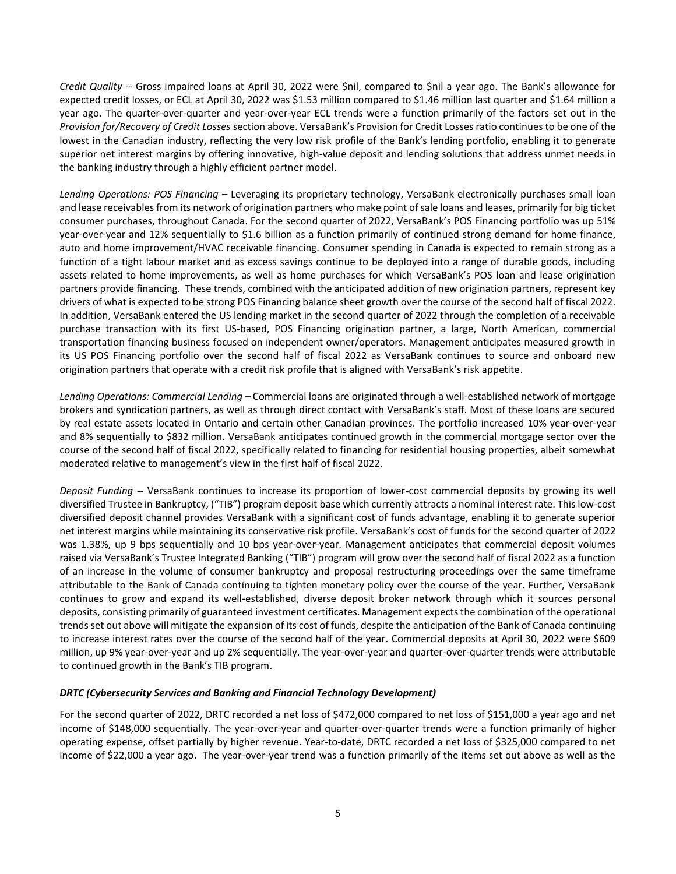*Credit Quality* -- Gross impaired loans at April 30, 2022 were \$nil, compared to \$nil a year ago. The Bank's allowance for expected credit losses, or ECL at April 30, 2022 was \$1.53 million compared to \$1.46 million last quarter and \$1.64 million a year ago. The quarter-over-quarter and year-over-year ECL trends were a function primarily of the factors set out in the *Provision for/Recovery of Credit Losses* section above. VersaBank's Provision for Credit Losses ratio continues to be one of the lowest in the Canadian industry, reflecting the very low risk profile of the Bank's lending portfolio, enabling it to generate superior net interest margins by offering innovative, high-value deposit and lending solutions that address unmet needs in the banking industry through a highly efficient partner model.

*Lending Operations: POS Financing –* Leveraging its proprietary technology, VersaBank electronically purchases small loan and lease receivables from its network of origination partners who make point of sale loans and leases, primarily for big ticket consumer purchases, throughout Canada. For the second quarter of 2022, VersaBank's POS Financing portfolio was up 51% year-over-year and 12% sequentially to \$1.6 billion as a function primarily of continued strong demand for home finance, auto and home improvement/HVAC receivable financing. Consumer spending in Canada is expected to remain strong as a function of a tight labour market and as excess savings continue to be deployed into a range of durable goods, including assets related to home improvements, as well as home purchases for which VersaBank's POS loan and lease origination partners provide financing. These trends, combined with the anticipated addition of new origination partners, represent key drivers of what is expected to be strong POS Financing balance sheet growth over the course of the second half of fiscal 2022. In addition, VersaBank entered the US lending market in the second quarter of 2022 through the completion of a receivable purchase transaction with its first US-based, POS Financing origination partner, a large, North American, commercial transportation financing business focused on independent owner/operators. Management anticipates measured growth in its US POS Financing portfolio over the second half of fiscal 2022 as VersaBank continues to source and onboard new origination partners that operate with a credit risk profile that is aligned with VersaBank's risk appetite.

*Lending Operations: Commercial Lending –* Commercial loans are originated through a well-established network of mortgage brokers and syndication partners, as well as through direct contact with VersaBank's staff. Most of these loans are secured by real estate assets located in Ontario and certain other Canadian provinces. The portfolio increased 10% year-over-year and 8% sequentially to \$832 million. VersaBank anticipates continued growth in the commercial mortgage sector over the course of the second half of fiscal 2022, specifically related to financing for residential housing properties, albeit somewhat moderated relative to management's view in the first half of fiscal 2022.

*Deposit Funding* -- VersaBank continues to increase its proportion of lower-cost commercial deposits by growing its well diversified Trustee in Bankruptcy, ("TIB") program deposit base which currently attracts a nominal interest rate. This low-cost diversified deposit channel provides VersaBank with a significant cost of funds advantage, enabling it to generate superior net interest margins while maintaining its conservative risk profile. VersaBank's cost of funds for the second quarter of 2022 was 1.38%, up 9 bps sequentially and 10 bps year-over-year. Management anticipates that commercial deposit volumes raised via VersaBank's Trustee Integrated Banking ("TIB") program will grow over the second half of fiscal 2022 as a function of an increase in the volume of consumer bankruptcy and proposal restructuring proceedings over the same timeframe attributable to the Bank of Canada continuing to tighten monetary policy over the course of the year. Further, VersaBank continues to grow and expand its well-established, diverse deposit broker network through which it sources personal deposits, consisting primarily of guaranteed investment certificates. Management expects the combination of the operational trends set out above will mitigate the expansion of its cost of funds, despite the anticipation of the Bank of Canada continuing to increase interest rates over the course of the second half of the year. Commercial deposits at April 30, 2022 were \$609 million, up 9% year-over-year and up 2% sequentially. The year-over-year and quarter-over-quarter trends were attributable to continued growth in the Bank's TIB program.

## *DRTC (Cybersecurity Services and Banking and Financial Technology Development)*

For the second quarter of 2022, DRTC recorded a net loss of \$472,000 compared to net loss of \$151,000 a year ago and net income of \$148,000 sequentially. The year-over-year and quarter-over-quarter trends were a function primarily of higher operating expense, offset partially by higher revenue. Year-to-date, DRTC recorded a net loss of \$325,000 compared to net income of \$22,000 a year ago. The year-over-year trend was a function primarily of the items set out above as well as the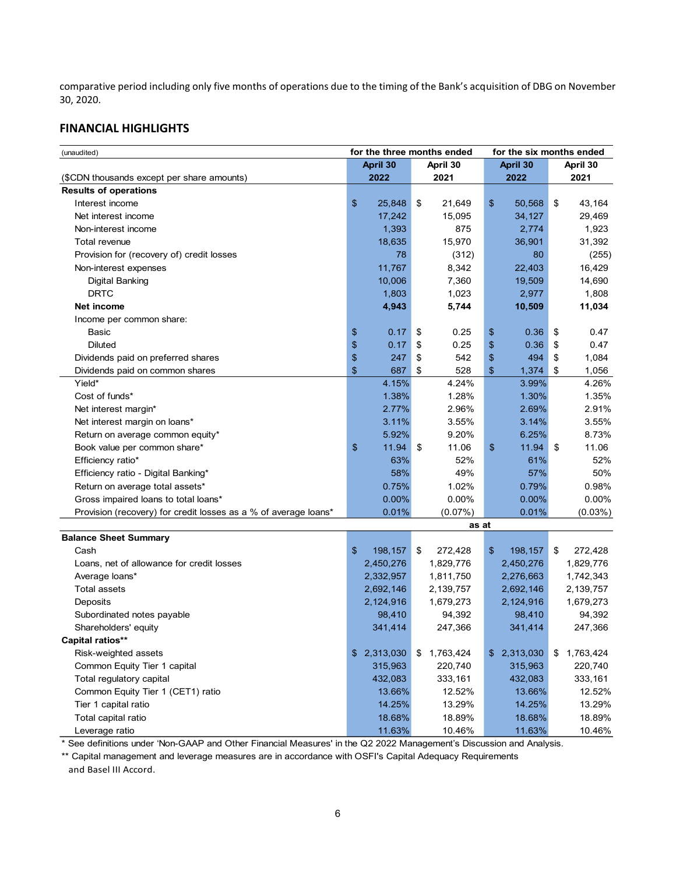comparative period including only five months of operations due to the timing of the Bank's acquisition of DBG on November 30, 2020.

# **FINANCIAL HIGHLIGHTS**

| (unaudited)                                                     | for the three months ended |               | for the six months ended |             |    |             |  |  |  |
|-----------------------------------------------------------------|----------------------------|---------------|--------------------------|-------------|----|-------------|--|--|--|
|                                                                 | April 30                   | April 30      |                          | April 30    |    | April 30    |  |  |  |
| (\$CDN thousands except per share amounts)                      | 2022                       | 2021          |                          | 2022        |    | 2021        |  |  |  |
| <b>Results of operations</b>                                    |                            |               |                          |             |    |             |  |  |  |
| Interest income                                                 | \$<br>25,848               | \$<br>21,649  | \$                       | 50,568      | \$ | 43,164      |  |  |  |
| Net interest income                                             | 17,242                     | 15,095        |                          | 34,127      |    | 29,469      |  |  |  |
| Non-interest income                                             | 1,393                      | 875           |                          | 2,774       |    | 1,923       |  |  |  |
| Total revenue                                                   | 18,635                     | 15,970        |                          | 36,901      |    | 31,392      |  |  |  |
| Provision for (recovery of) credit losses                       | 78                         | (312)         |                          | 80          |    | (255)       |  |  |  |
| Non-interest expenses                                           | 11,767                     | 8,342         |                          | 22,403      |    | 16,429      |  |  |  |
| Digital Banking                                                 | 10,006                     | 7,360         |                          | 19,509      |    | 14,690      |  |  |  |
| <b>DRTC</b>                                                     | 1,803                      | 1,023         |                          | 2,977       |    | 1,808       |  |  |  |
| <b>Net income</b>                                               | 4,943                      | 5,744         |                          | 10,509      |    | 11,034      |  |  |  |
| Income per common share:                                        |                            |               |                          |             |    |             |  |  |  |
| Basic                                                           | \$<br>0.17                 | \$<br>0.25    | \$                       | 0.36        | \$ | 0.47        |  |  |  |
| Diluted                                                         | \$<br>0.17                 | \$<br>0.25    | \$                       | 0.36        | \$ | 0.47        |  |  |  |
| Dividends paid on preferred shares                              | \$<br>247                  | \$<br>542     | \$                       | 494         | \$ | 1,084       |  |  |  |
| Dividends paid on common shares                                 | \$<br>687                  | \$<br>528     | \$                       | 1,374       | \$ | 1,056       |  |  |  |
| Yield*                                                          | 4.15%                      | 4.24%         |                          | 3.99%       |    | 4.26%       |  |  |  |
| Cost of funds*                                                  | 1.38%                      | 1.28%         |                          | 1.30%       |    | 1.35%       |  |  |  |
| Net interest margin*                                            | 2.77%                      | 2.96%         |                          | 2.69%       |    | 2.91%       |  |  |  |
| Net interest margin on loans*                                   | 3.11%                      | 3.55%         |                          | 3.14%       |    | 3.55%       |  |  |  |
| Return on average common equity*                                | 5.92%                      | 9.20%         |                          | 6.25%       |    | 8.73%       |  |  |  |
| Book value per common share*                                    | \$<br>11.94                | \$<br>11.06   | \$                       | 11.94       | \$ | 11.06       |  |  |  |
| Efficiency ratio*                                               | 63%                        | 52%           |                          | 61%         |    | 52%         |  |  |  |
| Efficiency ratio - Digital Banking*                             | 58%                        | 49%           |                          | 57%         |    | 50%         |  |  |  |
| Return on average total assets*                                 | 0.75%                      | 1.02%         |                          | 0.79%       |    | 0.98%       |  |  |  |
| Gross impaired loans to total loans*                            | 0.00%                      | 0.00%         |                          | 0.00%       |    | 0.00%       |  |  |  |
| Provision (recovery) for credit losses as a % of average loans* | 0.01%                      | (0.07%)       |                          | 0.01%       |    | $(0.03\%)$  |  |  |  |
|                                                                 |                            | as at         |                          |             |    |             |  |  |  |
| <b>Balance Sheet Summary</b>                                    |                            |               |                          |             |    |             |  |  |  |
| Cash                                                            | \$<br>198,157              | \$<br>272,428 | \$                       | 198,157     | \$ | 272,428     |  |  |  |
| Loans, net of allowance for credit losses                       | 2,450,276                  | 1,829,776     |                          | 2,450,276   |    | 1,829,776   |  |  |  |
| Average loans*                                                  | 2,332,957                  | 1,811,750     |                          | 2,276,663   |    | 1,742,343   |  |  |  |
| <b>Total assets</b>                                             | 2,692,146                  | 2,139,757     |                          | 2,692,146   |    | 2,139,757   |  |  |  |
| Deposits                                                        | 2,124,916                  | 1,679,273     |                          | 2,124,916   |    | 1,679,273   |  |  |  |
| Subordinated notes payable                                      | 98,410                     | 94,392        |                          | 98,410      |    | 94,392      |  |  |  |
| Shareholders' equity                                            | 341,414                    | 247,366       |                          | 341,414     |    | 247,366     |  |  |  |
| Capital ratios**                                                |                            |               |                          |             |    |             |  |  |  |
| Risk-weighted assets                                            | \$2,313,030                | \$1,763,424   |                          | \$2,313,030 |    | \$1,763,424 |  |  |  |
| Common Equity Tier 1 capital                                    | 315,963                    | 220,740       |                          | 315,963     |    | 220,740     |  |  |  |
| Total regulatory capital                                        | 432,083                    | 333,161       |                          | 432,083     |    | 333,161     |  |  |  |
| Common Equity Tier 1 (CET1) ratio                               | 13.66%                     | 12.52%        |                          | 13.66%      |    | 12.52%      |  |  |  |
| Tier 1 capital ratio                                            | 14.25%                     | 13.29%        |                          | 14.25%      |    | 13.29%      |  |  |  |
| Total capital ratio                                             | 18.68%                     | 18.89%        |                          | 18.68%      |    | 18.89%      |  |  |  |
| Leverage ratio                                                  | 11.63%                     | 10.46%        |                          | 11.63%      |    | 10.46%      |  |  |  |

\* See definitions under 'Non-GAAP and Other Financial Measures' in the Q2 2022 Management's Discussion and Analysis.

\*\* Capital management and leverage measures are in accordance with OSFI's Capital Adequacy Requirements

and Basel III Accord.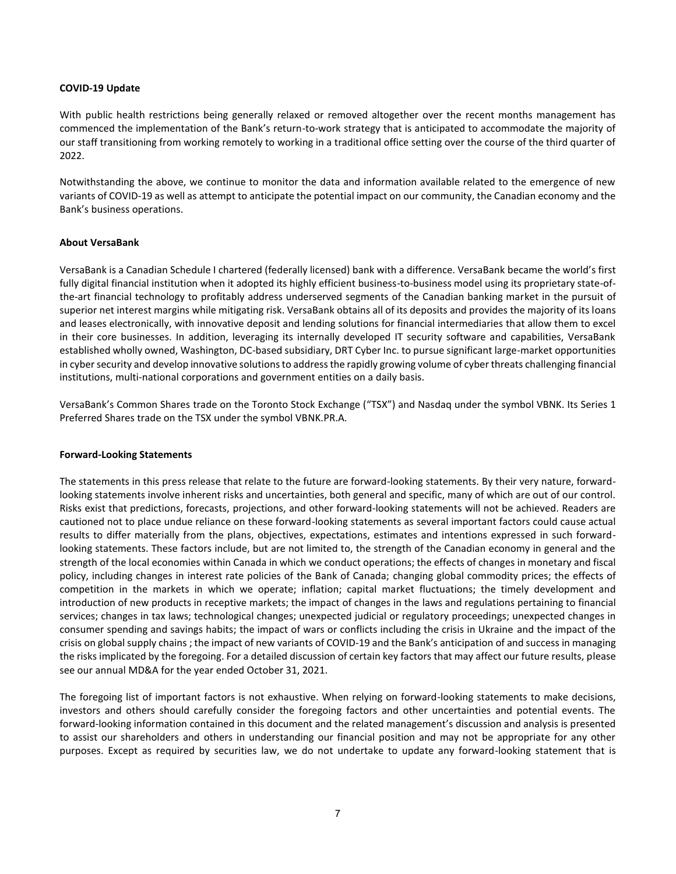#### **COVID-19 Update**

With public health restrictions being generally relaxed or removed altogether over the recent months management has commenced the implementation of the Bank's return-to-work strategy that is anticipated to accommodate the majority of our staff transitioning from working remotely to working in a traditional office setting over the course of the third quarter of 2022.

Notwithstanding the above, we continue to monitor the data and information available related to the emergence of new variants of COVID-19 as well as attempt to anticipate the potential impact on our community, the Canadian economy and the Bank's business operations.

## **About VersaBank**

VersaBank is a Canadian Schedule I chartered (federally licensed) bank with a difference. VersaBank became the world's first fully digital financial institution when it adopted its highly efficient business-to-business model using its proprietary state-ofthe-art financial technology to profitably address underserved segments of the Canadian banking market in the pursuit of superior net interest margins while mitigating risk. VersaBank obtains all of its deposits and provides the majority of its loans and leases electronically, with innovative deposit and lending solutions for financial intermediaries that allow them to excel in their core businesses. In addition, leveraging its internally developed IT security software and capabilities, VersaBank established wholly owned, Washington, DC-based subsidiary, DRT Cyber Inc. to pursue significant large-market opportunities in cyber security and develop innovative solutions to address the rapidly growing volume of cyber threats challenging financial institutions, multi-national corporations and government entities on a daily basis.

VersaBank's Common Shares trade on the Toronto Stock Exchange ("TSX") and Nasdaq under the symbol VBNK. Its Series 1 Preferred Shares trade on the TSX under the symbol VBNK.PR.A.

#### **Forward-Looking Statements**

The statements in this press release that relate to the future are forward-looking statements. By their very nature, forwardlooking statements involve inherent risks and uncertainties, both general and specific, many of which are out of our control. Risks exist that predictions, forecasts, projections, and other forward-looking statements will not be achieved. Readers are cautioned not to place undue reliance on these forward-looking statements as several important factors could cause actual results to differ materially from the plans, objectives, expectations, estimates and intentions expressed in such forwardlooking statements. These factors include, but are not limited to, the strength of the Canadian economy in general and the strength of the local economies within Canada in which we conduct operations; the effects of changes in monetary and fiscal policy, including changes in interest rate policies of the Bank of Canada; changing global commodity prices; the effects of competition in the markets in which we operate; inflation; capital market fluctuations; the timely development and introduction of new products in receptive markets; the impact of changes in the laws and regulations pertaining to financial services; changes in tax laws; technological changes; unexpected judicial or regulatory proceedings; unexpected changes in consumer spending and savings habits; the impact of wars or conflicts including the crisis in Ukraine and the impact of the crisis on global supply chains ; the impact of new variants of COVID-19 and the Bank's anticipation of and success in managing the risks implicated by the foregoing. For a detailed discussion of certain key factors that may affect our future results, please see our annual MD&A for the year ended October 31, 2021.

The foregoing list of important factors is not exhaustive. When relying on forward-looking statements to make decisions, investors and others should carefully consider the foregoing factors and other uncertainties and potential events. The forward-looking information contained in this document and the related management's discussion and analysis is presented to assist our shareholders and others in understanding our financial position and may not be appropriate for any other purposes. Except as required by securities law, we do not undertake to update any forward-looking statement that is